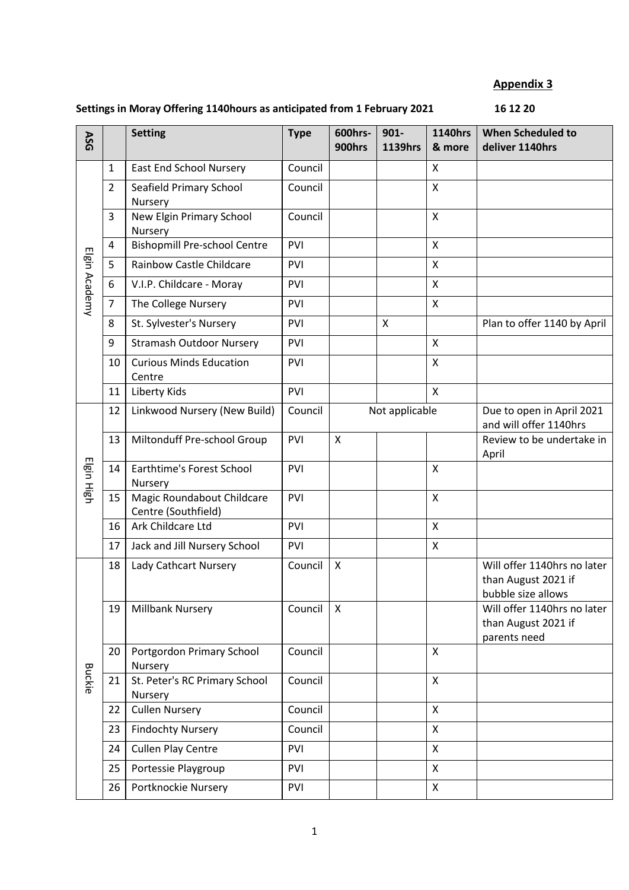## **Appendix 3**

## Settings in Moray Offering 1140 hours as anticipated from 1 February 2021 **16 12 20**

| ASG           |                | <b>Setting</b>                                    | <b>Type</b> | 600hrs-<br>900hrs | $901 -$<br><b>1139hrs</b> | <b>1140hrs</b><br>& more | <b>When Scheduled to</b><br>deliver 1140hrs                              |
|---------------|----------------|---------------------------------------------------|-------------|-------------------|---------------------------|--------------------------|--------------------------------------------------------------------------|
| Elgin Academy | $\mathbf{1}$   | <b>East End School Nursery</b>                    | Council     |                   |                           | X                        |                                                                          |
|               | $\overline{2}$ | Seafield Primary School<br>Nursery                | Council     |                   |                           | X                        |                                                                          |
|               | 3              | New Elgin Primary School<br>Nursery               | Council     |                   |                           | $\mathsf{x}$             |                                                                          |
|               | 4              | <b>Bishopmill Pre-school Centre</b>               | PVI         |                   |                           | X                        |                                                                          |
|               | 5              | <b>Rainbow Castle Childcare</b>                   | PVI         |                   |                           | X                        |                                                                          |
|               | 6              | V.I.P. Childcare - Moray                          | PVI         |                   |                           | $\pmb{\mathsf{X}}$       |                                                                          |
|               | $\overline{7}$ | The College Nursery                               | PVI         |                   |                           | X                        |                                                                          |
|               | 8              | St. Sylvester's Nursery                           | PVI         |                   | X                         |                          | Plan to offer 1140 by April                                              |
|               | 9              | <b>Stramash Outdoor Nursery</b>                   | PVI         |                   |                           | X                        |                                                                          |
|               | 10             | <b>Curious Minds Education</b><br>Centre          | PVI         |                   |                           | X                        |                                                                          |
|               | 11             | Liberty Kids                                      | PVI         |                   |                           | X                        |                                                                          |
|               | 12             | Linkwood Nursery (New Build)                      | Council     | Not applicable    |                           |                          | Due to open in April 2021<br>and will offer 1140hrs                      |
|               | 13             | Miltonduff Pre-school Group                       | PVI         | X                 |                           |                          | Review to be undertake in<br>April                                       |
| Elgin High    | 14             | Earthtime's Forest School<br>Nursery              | PVI         |                   |                           | X                        |                                                                          |
|               | 15             | Magic Roundabout Childcare<br>Centre (Southfield) | PVI         |                   |                           | X                        |                                                                          |
|               | 16             | Ark Childcare Ltd                                 | PVI         |                   |                           | X                        |                                                                          |
|               | 17             | Jack and Jill Nursery School                      | PVI         |                   |                           | X                        |                                                                          |
| <b>Buckie</b> | 18             | Lady Cathcart Nursery                             | Council     | X                 |                           |                          | Will offer 1140hrs no later<br>than August 2021 if<br>bubble size allows |
|               | 19             | Millbank Nursery                                  | Council     | X                 |                           |                          | Will offer 1140hrs no later<br>than August 2021 if<br>parents need       |
|               | 20             | Portgordon Primary School<br>Nursery              | Council     |                   |                           | X                        |                                                                          |
|               | 21             | St. Peter's RC Primary School<br>Nursery          | Council     |                   |                           | X                        |                                                                          |
|               | 22             | <b>Cullen Nursery</b>                             | Council     |                   |                           | X                        |                                                                          |
|               | 23             | <b>Findochty Nursery</b>                          | Council     |                   |                           | X                        |                                                                          |
|               | 24             | <b>Cullen Play Centre</b>                         | PVI         |                   |                           | X                        |                                                                          |
|               | 25             | Portessie Playgroup                               | PVI         |                   |                           | X                        |                                                                          |
|               | 26             | Portknockie Nursery                               | PVI         |                   |                           | X                        |                                                                          |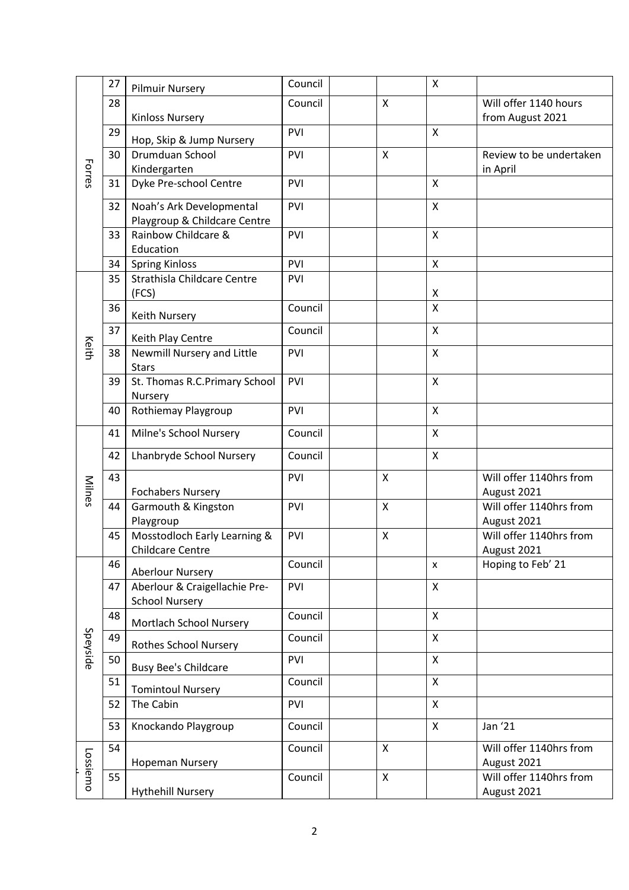|          | 27 | <b>Pilmuir Nursery</b>        | Council |   | Χ      |                                           |
|----------|----|-------------------------------|---------|---|--------|-------------------------------------------|
|          | 28 | <b>Kinloss Nursery</b>        | Council | X |        | Will offer 1140 hours<br>from August 2021 |
|          | 29 | Hop, Skip & Jump Nursery      | PVI     |   | X      |                                           |
| Forres   | 30 | Drumduan School               | PVI     | X |        | Review to be undertaken                   |
|          |    | Kindergarten                  |         |   |        | in April                                  |
|          | 31 | Dyke Pre-school Centre        | PVI     |   | X      |                                           |
|          | 32 | Noah's Ark Developmental      | PVI     |   | X      |                                           |
|          |    | Playgroup & Childcare Centre  |         |   |        |                                           |
|          | 33 | Rainbow Childcare &           | PVI     |   | Χ      |                                           |
|          |    | Education                     |         |   |        |                                           |
|          | 34 | <b>Spring Kinloss</b>         | PVI     |   | Χ      |                                           |
|          | 35 | Strathisla Childcare Centre   | PVI     |   |        |                                           |
|          | 36 | (FCS)                         | Council |   | Χ<br>Χ |                                           |
|          |    | <b>Keith Nursery</b>          |         |   |        |                                           |
|          | 37 | Keith Play Centre             | Council |   | Χ      |                                           |
| Keith    | 38 | Newmill Nursery and Little    | PVI     |   | Χ      |                                           |
|          |    | <b>Stars</b>                  |         |   |        |                                           |
|          | 39 | St. Thomas R.C.Primary School | PVI     |   | Χ      |                                           |
|          |    | Nursery                       |         |   |        |                                           |
|          | 40 | Rothiemay Playgroup           | PVI     |   | X      |                                           |
|          | 41 | Milne's School Nursery        | Council |   | Χ      |                                           |
|          | 42 | Lhanbryde School Nursery      | Council |   | X      |                                           |
| Milnes   | 43 | <b>Fochabers Nursery</b>      | PVI     | Χ |        | Will offer 1140hrs from<br>August 2021    |
|          | 44 | Garmouth & Kingston           | PVI     | X |        | Will offer 1140hrs from                   |
|          |    | Playgroup                     |         |   |        | August 2021                               |
|          | 45 | Mosstodloch Early Learning &  | PVI     | X |        | Will offer 1140hrs from                   |
|          |    | Childcare Centre              |         |   |        | August 2021                               |
|          | 46 | <b>Aberlour Nursery</b>       | Council |   | X      | Hoping to Feb' 21                         |
|          | 47 | Aberlour & Craigellachie Pre- | PVI     |   | X      |                                           |
|          |    | <b>School Nursery</b>         |         |   |        |                                           |
|          | 48 |                               | Council |   | Χ      |                                           |
|          | 49 | Mortlach School Nursery       |         |   |        |                                           |
| Speyside |    | <b>Rothes School Nursery</b>  | Council |   | X      |                                           |
| Lossiemo | 50 | <b>Busy Bee's Childcare</b>   | PVI     |   | X      |                                           |
|          | 51 | <b>Tomintoul Nursery</b>      | Council |   | X      |                                           |
|          | 52 | The Cabin                     | PVI     |   | X      |                                           |
|          | 53 | Knockando Playgroup           | Council |   | X      | Jan '21                                   |
|          | 54 |                               | Council | X |        | Will offer 1140hrs from                   |
|          |    | <b>Hopeman Nursery</b>        |         |   |        | August 2021                               |
|          | 55 |                               | Council | X |        | Will offer 1140hrs from                   |
|          |    | <b>Hythehill Nursery</b>      |         |   |        | August 2021                               |